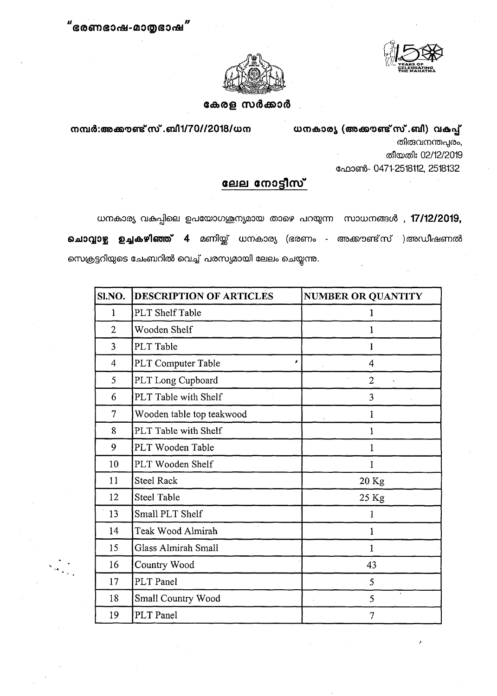



## കേരള സർക്കാർ

നമ്പർ:അകൗണ്ട് സ്. ബി1/70//2018/ധന

ധനകാര്യ (അക്കൗണ്ട് സ്.ബി) വകപ്പ് തിരുവനന്തപുരം, തീയതി: 02/12/2019 ഹോൺ- 0471-2518112, 2518132

## <u>ലേല നോട്ടീസ്</u>

ധനകാര്യ വകപ്പിലെ ഉപയോഗശൂന്യമായ താഴെ പറയുന്ന സാധനങ്ങൾ , 17/12/2019, **ചൊവ്വാഴ്ച ഉച്ചകഴിഞ്ഞ് 4** മണിയ്ക്ക് ധനകാര്യ (ഭരണം - അക്കൗണ്ട്സ് )അഡീഷണൽ സെക്രട്ടറിയുടെ ചേംബറിൽ വെച്ച് പരസ്യമായി ലേലം ചെയ്യന്ത.

| SI.NO.         | DESCRIPTION OF ARTICLES    | <b>NUMBER OR QUANTITY</b>            |
|----------------|----------------------------|--------------------------------------|
| $\mathbf{1}$   | PLT Shelf Table            | 1                                    |
| $\overline{2}$ | Wooden Shelf               | 1                                    |
| 3              | PLT Table                  | 1                                    |
| 4              | PLT Computer Table         | ,<br>$\overline{4}$                  |
| 5              | PLT Long Cupboard          | $\overline{2}$<br>$\bar{\mathbf{v}}$ |
| 6              | PLT Table with Shelf       | 3                                    |
| 7              | Wooden table top teakwood  | 1                                    |
| 8              | PLT Table with Shelf       | $\mathbf{1}$                         |
| 9              | PLT Wooden Table           | 1                                    |
| 10             | PLT Wooden Shelf           | 1                                    |
| 11             | <b>Steel Rack</b>          | 20 Kg                                |
| 12             | <b>Steel Table</b>         | 25 Kg                                |
| 13             | Small PLT Shelf            |                                      |
| 14             | Teak Wood Almirah          | 1                                    |
| 15             | <b>Glass Almirah Small</b> | $\mathbf{1}$                         |
| 16             | Country Wood               | 43                                   |
| 17             | PLT Panel                  | 5                                    |
| 18             | Small Country Wood         | $\bullet$<br>5                       |
| 19             | PLT Panel                  | 7                                    |